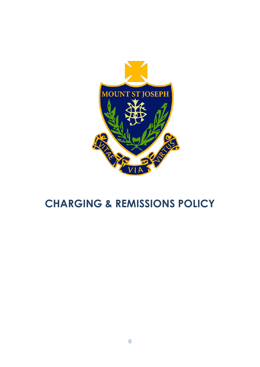

# **CHARGING & REMISSIONS POLICY**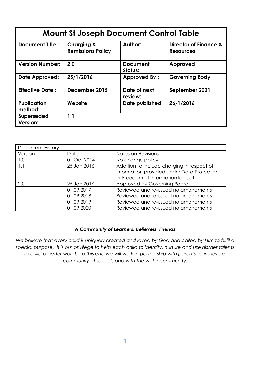| <b>Mount St Joseph Document Control Table</b> |                                                   |                            |                                                      |
|-----------------------------------------------|---------------------------------------------------|----------------------------|------------------------------------------------------|
| <b>Document Title:</b>                        | <b>Charging &amp;</b><br><b>Remissions Policy</b> | Author:                    | <b>Director of Finance &amp;</b><br><b>Resources</b> |
| <b>Version Number:</b>                        | 2.0                                               | <b>Document</b><br>Status: | Approved                                             |
| Date Approved:                                | 25/1/2016                                         | <b>Approved By:</b>        | <b>Governing Body</b>                                |
| <b>Effective Date:</b>                        | December 2015                                     | Date of next<br>review:    | September 2021                                       |
| <b>Publication</b><br>method:                 | Website                                           | Date published             | 26/1/2016                                            |
| Superseded<br>Version:                        | 1.1                                               |                            |                                                      |

| Document History |             |                                            |  |
|------------------|-------------|--------------------------------------------|--|
| Version          | Date        | Notes on Revisions                         |  |
| 1.0              | 01 Oct 2014 | No change policy                           |  |
| 1.1              | 25 Jan 2016 | Addition to include charging in respect of |  |
|                  |             | information provided under Data Protection |  |
|                  |             | or Freedom of Information legislation.     |  |
| 2.0              | 25 Jan 2016 | Approved by Governing Board                |  |
|                  | 01.09.2017  | Reviewed and re-issued no amendments       |  |
|                  | 01.09.2018  | Reviewed and re-issued no amendments       |  |
|                  | 01.09.2019  | Reviewed and re-issued no amendments       |  |
|                  | 01.09.2020  | Reviewed and re-issued no amendments       |  |

# *A Community of Learners, Believers, Friends*

*We believe that every child is uniquely created and loved by God and called by Him to fulfil a special purpose. It is our privilege to help each child to identify, nurture and use his/her talents to build a better world. To this end we will work in partnership with parents, parishes our community of schools and with the wider community.*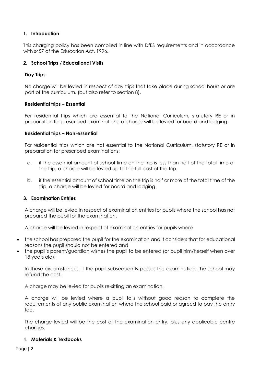# **1. Introduction**

This charging policy has been compiled in line with DfES requirements and in accordance with s457 of the Education Act, 1996.

## **2. School Trips / Educational Visits**

### **Day Trips**

No charge will be levied in respect of day trips that take place during school hours or are part of the curriculum. (but also refer to section 8).

### **Residential trips – Essential**

For residential trips which are essential to the National Curriculum, statutory RE or in preparation for prescribed examinations, a charge will be levied for board and lodging.

#### **Residential trips – Non-essential**

For residential trips which are not essential to the National Curriculum, statutory RE or in preparation for prescribed examinations:

- a. if the essential amount of school time on the trip is less than half of the total time of the trip, a charge will be levied up to the full cost of the trip.
- b. if the essential amount of school time on the trip is half or more of the total time of the trip, a charge will be levied for board and lodging.

# **3. Examination Entries**

A charge will be levied in respect of examination entries for pupils where the school has not prepared the pupil for the examination.

A charge will be levied in respect of examination entries for pupils where

- the school has prepared the pupil for the examination and it considers that for educational reasons the pupil should not be entered and
- the pupil's parent/guardian wishes the pupil to be entered (or pupil him/herself when over 18 years old).

In these circumstances, if the pupil subsequently passes the examination, the school may refund the cost.

A charge may be levied for pupils re-sitting an examination.

A charge will be levied where a pupil fails without good reason to complete the requirements of any public examination where the school paid or agreed to pay the entry fee.

The charge levied will be the cost of the examination entry, plus any applicable centre charges.

#### 4. **Materials & Textbooks**

Page | 2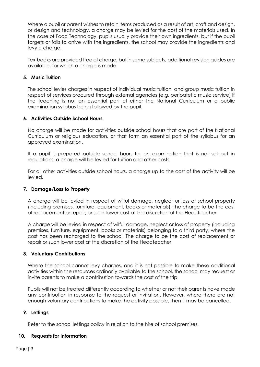Where a pupil or parent wishes to retain items produced as a result of art, craft and design, or design and technology, a charge may be levied for the cost of the materials used. In the case of Food Technology, pupils usually provide their own ingredients, but if the pupil forgets or fails to arrive with the ingredients, the school may provide the ingredients and levy a charge.

Textbooks are provided free of charge, but in some subjects, additional revision guides are available, for which a charge is made.

# **5. Music Tuition**

The school levies charges in respect of individual music tuition, and group music tuition in respect of services procured through external agencies (e.g. peripatetic music service) if the teaching is not an essential part of either the National Curriculum or a public examination syllabus being followed by the pupil.

# **6. Activities Outside School Hours**

No charge will be made for activities outside school hours that are part of the National Curriculum or religious education, or that form an essential part of the syllabus for an approved examination.

If a pupil is prepared outside school hours for an examination that is not set out in regulations, a charge will be levied for tuition and other costs.

For all other activities outside school hours, a charge up to the cost of the activity will be levied.

#### **7. Damage/Loss to Property**

A charge will be levied in respect of wilful damage, neglect or loss of school property (including premises, furniture, equipment, books or materials), the charge to be the cost of replacement or repair, or such lower cost at the discretion of the Headteacher.

A charge will be levied in respect of wilful damage, neglect or loss of property (including premises, furniture, equipment, books or materials) belonging to a third party, where the cost has been recharged to the school. The charge to be the cost of replacement or repair or such lower cost at the discretion of the Headteacher.

#### **8. Voluntary Contributions**

Where the school cannot levy charges, and it is not possible to make these additional activities within the resources ordinarily available to the school, the school may request or invite parents to make a contribution towards the cost of the trip.

Pupils will not be treated differently according to whether or not their parents have made any contribution in response to the request or invitation. However, where there are not enough voluntary contributions to make the activity possible, then it may be cancelled.

# **9. Lettings**

Refer to the school lettings policy in relation to the hire of school premises.

#### **10. Requests for Information**